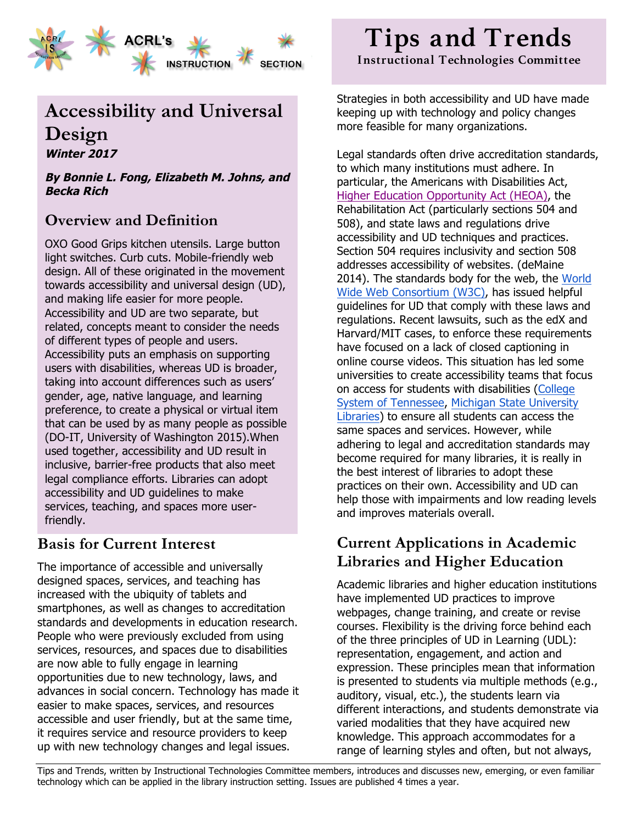

## **Accessibility and Universal Design Winter 2017**

 **By Bonnie L. Fong, Elizabeth M. Johns, and Becka Rich** 

#### **Overview and Definition**

 OXO Good Grips kitchen utensils. Large button light switches. Curb cuts. Mobile-friendly web design. All of these originated in the movement towards accessibility and universal design (UD), and making life easier for more people. Accessibility and UD are two separate, but related, concepts meant to consider the needs of different types of people and users. Accessibility puts an emphasis on supporting users with disabilities, whereas UD is broader, taking into account differences such as users' gender, age, native language, and learning preference, to create a physical or virtual item that can be used by as many people as possible (DO-IT, University of Washington 2015).When used together, accessibility and UD result in inclusive, barrier-free products that also meet legal compliance efforts. Libraries can adopt accessibility and UD guidelines to make services, teaching, and spaces more userfriendly.

#### **Basis for Current Interest**

 The importance of accessible and universally designed spaces, services, and teaching has increased with the ubiquity of tablets and smartphones, as well as changes to accreditation standards and developments in education research. People who were previously excluded from using services, resources, and spaces due to disabilities are now able to fully engage in learning opportunities due to new technology, laws, and advances in social concern. Technology has made it accessible and user friendly, but at the same time, it requires service and resource providers to keep up with new technology changes and legal issues. easier to make spaces, services, and resources

# **Tips and Trends**

**I nstructional Technologies Committee** 

 Strategies in both accessibility and UD have made keeping up with technology and policy changes more feasible for many organizations.

 Legal standards often drive accreditation standards, to which many institutions must adhere. In particular, the Americans with Disabilities Act, [Higher Education Opportunity Act \(HEOA\)](https://www.gpo.gov/fdsys/pkg/PLAW-110publ315/pdf/PLAW-110publ315.pdf), the Rehabilitation Act (particularly sections 504 and 508), and state laws and regulations drive accessibility and UD techniques and practices. Section 504 requires inclusivity and section 508 addresses accessibility of websites. (deMaine 2014). The standards body for the web, the World [Wide Web Consortium \(W3C\)](https://www.w3.org/WAI/), has issued helpful guidelines for UD that comply with these laws and regulations. Recent lawsuits, such as the edX and Harvard/MIT cases, to enforce these requirements have focused on a lack of closed captioning in online course videos. This situation has led some universities to create accessibility teams that focus on access for students with disabilities (College [System of Tennessee](https://www.tbr.edu/academics/accessibility-initiative), [Michigan State University](https://www.lib.msu.edu/general/access-staff/) [Libraries\)](https://www.lib.msu.edu/general/access-staff/) to ensure all students can access the same spaces and services. However, while adhering to legal and accreditation standards may become required for many libraries, it is really in the best interest of libraries to adopt these practices on their own. Accessibility and UD can help those with impairments and low reading levels and improves materials overall.

#### **Current Applications in Academic Libraries and Higher Education**

 Academic libraries and higher education institutions have implemented UD practices to improve webpages, change training, and create or revise courses. Flexibility is the driving force behind each of the three principles of UD in Learning (UDL): is presented to students via multiple methods (e.g., auditory, visual, etc.), the students learn via varied modalities that they have acquired new knowledge. This approach accommodates for a range of learning styles and often, but not always, representation, engagement, and action and expression. These principles mean that information different interactions, and students demonstrate via

 Tips and Trends, written by Instructional Technologies Committee members, introduces and discusses new, emerging, or even familiar technology which can be applied in the library instruction setting. Issues are published 4 times a year.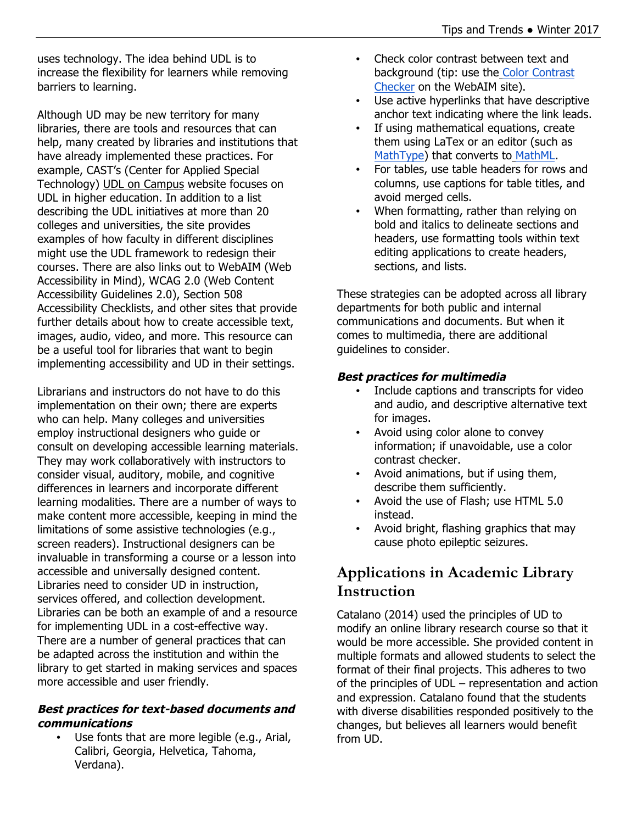uses technology. The idea behind UDL is to increase the flexibility for learners while removing barriers to learning.

 Although UD may be new territory for many libraries, there are tools and resources that can help, many created by libraries and institutions that have already implemented these practices. For example, CAST's (Center for Applied Special Technology) [UDL on Campus](http://udloncampus.cast.org/) website focuses on UDL in higher education. In addition to a list describing the UDL initiatives at more than 20 colleges and universities, the site provides examples of how faculty in different disciplines might use the UDL framework to redesign their courses. There are also links out to WebAIM (Web Accessibility in Mind), WCAG 2.0 (Web Content Accessibility Guidelines 2.0), Section 508 Accessibility Checklists, and other sites that provide further details about how to create accessible text, images, audio, video, and more. This resource can be a useful tool for libraries that want to begin implementing accessibility and UD in their settings.

 implementation on their own; there are experts who can help. Many colleges and universities employ instructional designers who guide or consult on developing accessible learning materials. They may work collaboratively with instructors to consider visual, auditory, mobile, and cognitive differences in learners and incorporate different learning modalities. There are a number of ways to make content more accessible, keeping in mind the limitations of some assistive technologies (e.g., screen readers). Instructional designers can be invaluable in transforming a course or a lesson into Libraries need to consider UD in instruction, services offered, and collection development. Libraries can be both an example of and a resource There are a number of general practices that can library to get started in making services and spaces more accessible and user friendly. Librarians and instructors do not have to do this accessible and universally designed content. for implementing UDL in a cost-effective way. be adapted across the institution and within the

#### **Best practices for text-based documents and communications**

 • Use fonts that are more legible (e.g., Arial, Calibri, Georgia, Helvetica, Tahoma, Verdana).

- • Check color contrast between text and background (tip: use the [Color Contrast](http://webaim.org/resources/contrastchecker) [Checker](http://webaim.org/resources/contrastchecker) on the WebAIM site).
- • Use active hyperlinks that have descriptive anchor text indicating where the link leads.
- • If using mathematical equations, create them using LaTex or an editor (such as [MathType](http://www.dessci.com/en/products/mathtype)) that converts t[o MathML](https://www.w3.org/Math).
- • For tables, use table headers for rows and columns, use captions for table titles, and avoid merged cells.
- When formatting, rather than relying on headers, use formatting tools within text sections, and lists. bold and italics to delineate sections and editing applications to create headers,

 These strategies can be adopted across all library departments for both public and internal communications and documents. But when it comes to multimedia, there are additional guidelines to consider.

#### **Best practices for multimedia**

- • Include captions and transcripts for video and audio, and descriptive alternative text for images.
- • Avoid using color alone to convey information; if unavoidable, use a color contrast checker.
- • Avoid animations, but if using them, describe them sufficiently.
- • Avoid the use of Flash; use HTML 5.0 instead.
- • Avoid bright, flashing graphics that may cause photo epileptic seizures.

## **Applications in Academic Library Instruction**

 Catalano (2014) used the principles of UD to modify an online library research course so that it would be more accessible. She provided content in multiple formats and allowed students to select the format of their final projects. This adheres to two of the principles of UDL – representation and action and expression. Catalano found that the students with diverse disabilities responded positively to the changes, but believes all learners would benefit from UD.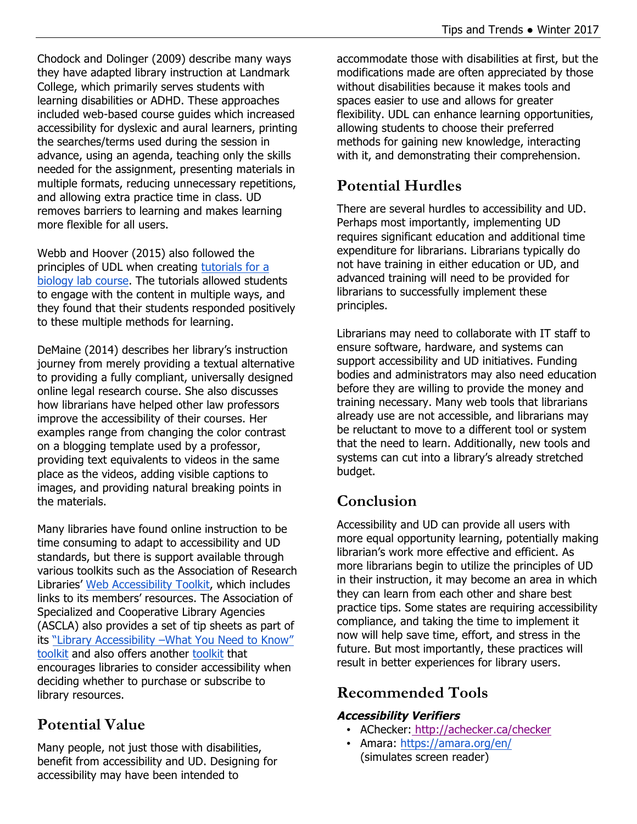Chodock and Dolinger (2009) describe many ways they have adapted library instruction at Landmark College, which primarily serves students with learning disabilities or ADHD. These approaches accessibility for dyslexic and aural learners, printing the searches/terms used during the session in advance, using an agenda, teaching only the skills multiple formats, reducing unnecessary repetitions, and allowing extra practice time in class. UD removes barriers to learning and makes learning more flexible for all users. included web-based course guides which increased needed for the assignment, presenting materials in

 Webb and Hoover (2015) also followed the principles of UDL when creating [tutorials for a](http://libguides.ecu.edu/biol1101) to engage with the content in multiple ways, and they found that their students responded positively to these multiple methods for learning. [biology lab course](http://libguides.ecu.edu/biol1101). The tutorials allowed students

 DeMaine (2014) describes her library's instruction how librarians have helped other law professors improve the accessibility of their courses. Her examples range from changing the color contrast on a blogging template used by a professor, providing text equivalents to videos in the same place as the videos, adding visible captions to images, and providing natural breaking points in journey from merely providing a textual alternative to providing a fully compliant, universally designed online legal research course. She also discusses the materials.

 Many libraries have found online instruction to be time consuming to adapt to accessibility and UD standards, but there is support available through various toolkits such as the Association of Research links to its members' resources. The Association of Specialized and Cooperative Library Agencies (ASCLA) also provides a set of tip sheets as part of its ["Library Accessibility –What You Need to Know"](http://www.ala.org/ascla/asclaprotools/accessibilitytipsheets) [toolkit](http://www.ala.org/ascla/asclaprotools/accessibilitytipsheets) and also offers another [toolkit](http://www.ala.org/ascla/asclaprotools/thinkaccessible/default) that encourages libraries to consider accessibility when Libraries' [Web Accessibility Toolkit](http://accessibility.arl.org/), which includes deciding whether to purchase or subscribe to library resources.

### **Potential Value**

 Many people, not just those with disabilities, benefit from accessibility and UD. Designing for accessibility may have been intended to

 accommodate those with disabilities at first, but the modifications made are often appreciated by those without disabilities because it makes tools and spaces easier to use and allows for greater flexibility. UDL can enhance learning opportunities, allowing students to choose their preferred methods for gaining new knowledge, interacting with it, and demonstrating their comprehension.

## **Potential Hurdles**

 There are several hurdles to accessibility and UD. Perhaps most importantly, implementing UD requires significant education and additional time expenditure for librarians. Librarians typically do not have training in either education or UD, and advanced training will need to be provided for librarians to successfully implement these principles.

 Librarians may need to collaborate with IT staff to ensure software, hardware, and systems can support accessibility and UD initiatives. Funding bodies and administrators may also need education training necessary. Many web tools that librarians already use are not accessible, and librarians may be reluctant to move to a different tool or system that the need to learn. Additionally, new tools and systems can cut into a library's already stretched before they are willing to provide the money and budget.

### **Conclusion**

 Accessibility and UD can provide all users with more equal opportunity learning, potentially making librarian's work more effective and efficient. As more librarians begin to utilize the principles of UD in their instruction, it may become an area in which they can learn from each other and share best compliance, and taking the time to implement it now will help save time, effort, and stress in the future. But most importantly, these practices will result in better experiences for library users. practice tips. Some states are requiring accessibility

#### **Recommended Tools**

#### **Accessibility Verifiers**

- • AChecker:<http://achecker.ca/checker>
- Amara:<https://amara.org/en/> (simulates screen reader)